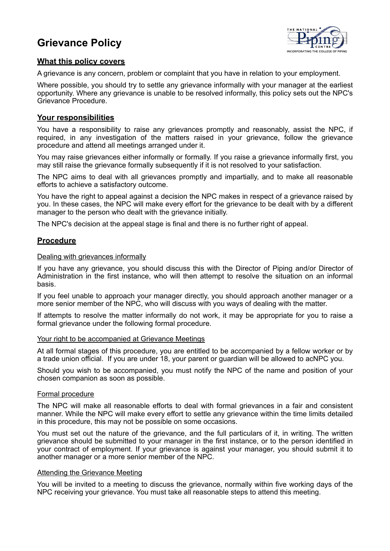# **Grievance Policy**



# **What this policy covers**

A grievance is any concern, problem or complaint that you have in relation to your employment.

Where possible, you should try to settle any grievance informally with your manager at the earliest opportunity. Where any grievance is unable to be resolved informally, this policy sets out the NPC's Grievance Procedure.

# **Your responsibilities**

You have a responsibility to raise any grievances promptly and reasonably, assist the NPC, if required, in any investigation of the matters raised in your grievance, follow the grievance procedure and attend all meetings arranged under it.

You may raise grievances either informally or formally. If you raise a grievance informally first, you may still raise the grievance formally subsequently if it is not resolved to your satisfaction.

The NPC aims to deal with all grievances promptly and impartially, and to make all reasonable efforts to achieve a satisfactory outcome.

You have the right to appeal against a decision the NPC makes in respect of a grievance raised by you. In these cases, the NPC will make every effort for the grievance to be dealt with by a different manager to the person who dealt with the grievance initially.

The NPC's decision at the appeal stage is final and there is no further right of appeal.

# **Procedure**

## Dealing with grievances informally

If you have any grievance, you should discuss this with the Director of Piping and/or Director of Administration in the first instance, who will then attempt to resolve the situation on an informal basis.

If you feel unable to approach your manager directly, you should approach another manager or a more senior member of the NPC, who will discuss with you ways of dealing with the matter.

If attempts to resolve the matter informally do not work, it may be appropriate for you to raise a formal grievance under the following formal procedure.

#### Your right to be accompanied at Grievance Meetings

At all formal stages of this procedure, you are entitled to be accompanied by a fellow worker or by a trade union official. If you are under 18, your parent or guardian will be allowed to acNPC you.

Should you wish to be accompanied, you must notify the NPC of the name and position of your chosen companion as soon as possible.

#### Formal procedure

The NPC will make all reasonable efforts to deal with formal grievances in a fair and consistent manner. While the NPC will make every effort to settle any grievance within the time limits detailed in this procedure, this may not be possible on some occasions.

You must set out the nature of the grievance, and the full particulars of it, in writing. The written grievance should be submitted to your manager in the first instance, or to the person identified in your contract of employment. If your grievance is against your manager, you should submit it to another manager or a more senior member of the NPC.

#### Attending the Grievance Meeting

You will be invited to a meeting to discuss the grievance, normally within five working days of the NPC receiving your grievance. You must take all reasonable steps to attend this meeting.